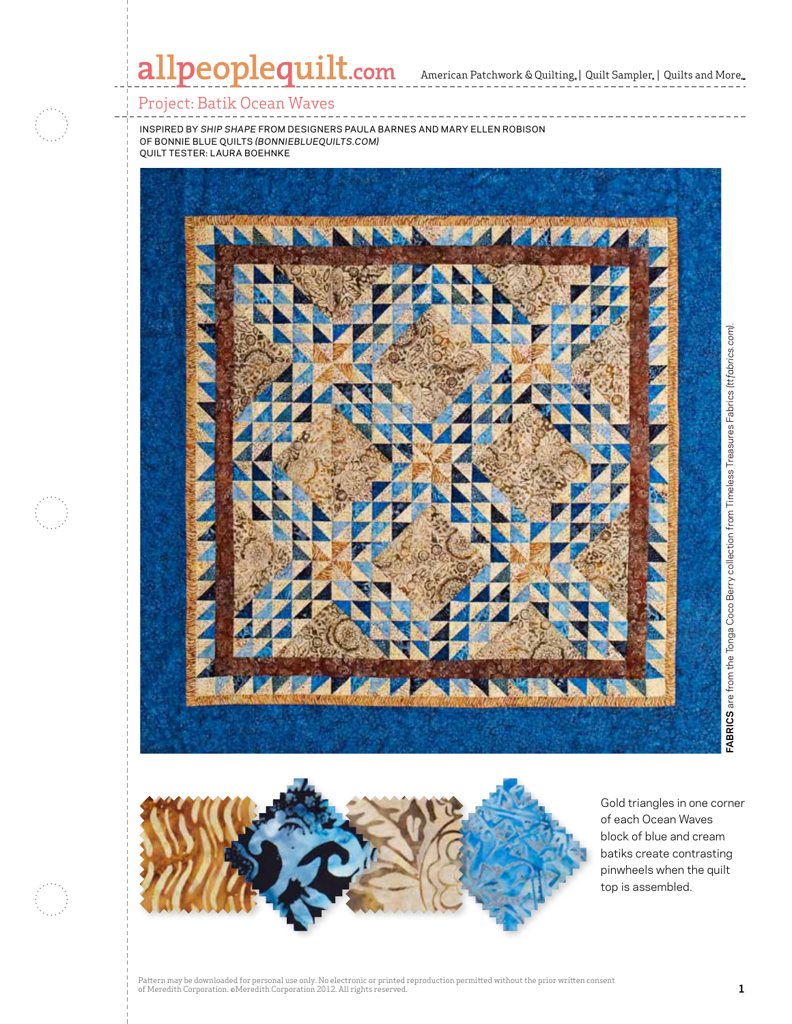American Patchwork & Quilting,  $|$  Quilt Sampler,  $|$  Quilts and More,

#### Project: Batik Ocean Waves

inspired by *Ship Shape* from designers paula barnes and mary ellen robison of bonnie blue quilts *(bonniebluequilts.com)* quilt tester: Laura Boehnke





Gold triangles in one corner of each Ocean Waves block of blue and cream batiks create contrasting pinwheels when the quilt top is assembled.

**FABRICS** are from the Tonga Coco Berry collection from Timeless Treasures Fabrics *(ttfabrics.com).*

**FABRICS** are from the Tonga Coco Berry collection from Timeless Treasures Fabrics (ttfabrics.com)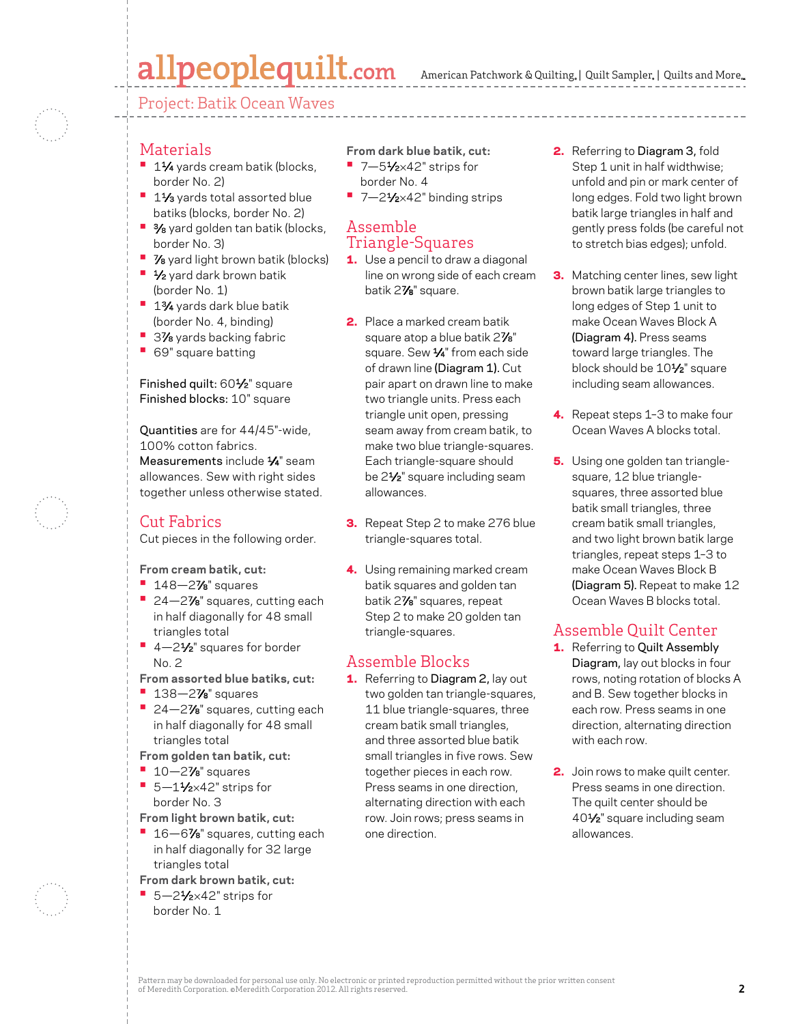Project: Batik Ocean Waves

#### Materials

- **<sup>•</sup>** 1½ yards cream batik (blocks, border No. 2)
- **<sup>■</sup>** 11⁄3 yards total assorted blue batiks (blocks, border No. 2)
- **3/8** yard golden tan batik (blocks, border No. 3)
- **7/8** yard light brown batik (blocks)
- **•**  1⁄2 yard dark brown batik (border No. 1)
- **•**  13⁄4 yards dark blue batik (border No. 4, binding)
- **3%** yards backing fabric
- **•**  69" square batting

Finished quilt: 601/2" square Finished blocks: 10" square

Quantities are for 44/45"-wide, 100% cotton fabrics. Measurements include  $\frac{1}{4}$ " seam

allowances. Sew with right sides together unless otherwise stated.

### Cut Fabrics

Cut pieces in the following order.

**From cream batik, cut:**

- **•**  148—27⁄8" squares
- 24—27<sup>/8</sup> squares, cutting each in half diagonally for 48 small triangles total
- 4-2<sup>1</sup>⁄<sub>2</sub>" squares for border No. 2
- **From assorted blue batiks, cut:**
- **•**  138—27⁄8" squares
- 24–2% squares, cutting each in half diagonally for 48 small triangles total
- **From golden tan batik, cut:**
- **•**  10—27⁄8" squares
- 5-11⁄2×42" strips for border No. 3
- **From light brown batik, cut:**
- 16–6% squares, cutting each in half diagonally for 32 large triangles total
- **From dark brown batik, cut:**
- 5-21⁄2×42" strips for border No. 1
- **From dark blue batik, cut:**
- 7-51⁄2×42" strips for border No. 4
- 7-21⁄2×42" binding strips

#### Assemble Triangle-Squares

- **1.** Use a pencil to draw a diagonal line on wrong side of each cream batik 27⁄8" square.
- 2. Place a marked cream batik square atop a blue batik 2%" square. Sew 1/4" from each side of drawn line (Diagram 1). Cut pair apart on drawn line to make two triangle units. Press each triangle unit open, pressing seam away from cream batik, to make two blue triangle-squares. Each triangle-square should be 21⁄2" square including seam allowances.
- **3.** Repeat Step 2 to make 276 blue triangle-squares total.
- 4. Using remaining marked cream batik squares and golden tan batik 27⁄8" squares, repeat Step 2 to make 20 golden tan triangle-squares.

#### Assemble Blocks

1. Referring to Diagram 2, lay out two golden tan triangle-squares, 11 blue triangle-squares, three cream batik small triangles, and three assorted blue batik small triangles in five rows. Sew together pieces in each row. Press seams in one direction, alternating direction with each row. Join rows; press seams in one direction.

- 2. Referring to Diagram 3, fold Step 1 unit in half widthwise; unfold and pin or mark center of long edges. Fold two light brown batik large triangles in half and gently press folds (be careful not to stretch bias edges); unfold.
- **3.** Matching center lines, sew light brown batik large triangles to long edges of Step 1 unit to make Ocean Waves Block A (Diagram 4). Press seams toward large triangles. The block should be 10<sup>1/2"</sup> square including seam allowances.
- 4. Repeat steps 1-3 to make four Ocean Waves A blocks total.
- **5.** Using one golden tan trianglesquare, 12 blue trianglesquares, three assorted blue batik small triangles, three cream batik small triangles, and two light brown batik large triangles, repeat steps 1–3 to make Ocean Waves Block B (Diagram 5). Repeat to make 12 Ocean Waves B blocks total.

## Assemble Quilt Center

- 1. Referring to Quilt Assembly Diagram, lay out blocks in four rows, noting rotation of blocks A and B. Sew together blocks in each row. Press seams in one direction, alternating direction with each row.
- 2. Join rows to make quilt center. Press seams in one direction. The quilt center should be 401⁄2" square including seam allowances.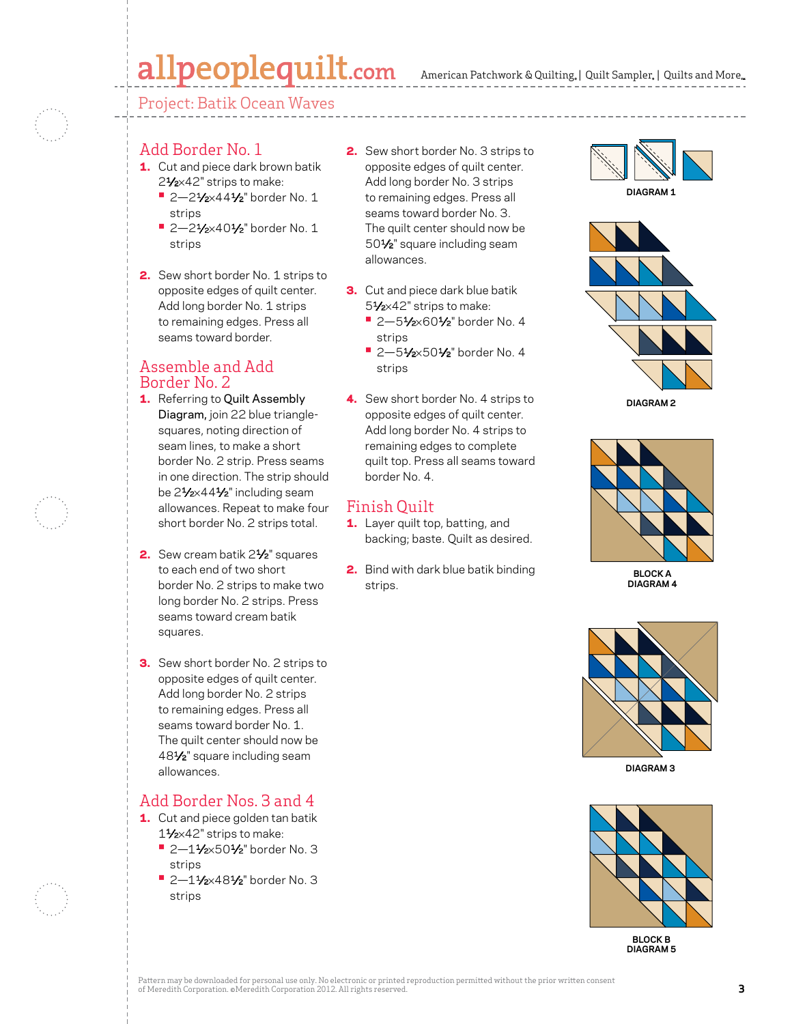Project: Batik Ocean Waves

### Add Border No. 1

- 1. Cut and piece dark brown batik 21/2×42" strips to make:
	- **•** 2—21⁄2×441⁄2" border No. 1 strips
	- **•** 2—21⁄2×401⁄2" border No. 1 strips
- 2. Sew short border No. 1 strips to opposite edges of quilt center. Add long border No. 1 strips to remaining edges. Press all seams toward border.

## Assemble and Add Border No. 2

- 1. Referring to Quilt Assembly Diagram, join 22 blue trianglesquares, noting direction of seam lines, to make a short border No. 2 strip. Press seams in one direction. The strip should be 21/2×441/2" including seam allowances. Repeat to make four short border No. 2 strips total.
- 2. Sew cream batik 2<sup>1</sup>/<sub>2</sub>" squares to each end of two short border No. 2 strips to make two long border No. 2 strips. Press seams toward cream batik squares.
- **3.** Sew short border No. 2 strips to opposite edges of quilt center. Add long border No. 2 strips to remaining edges. Press all seams toward border No. 1. The quilt center should now be 481⁄2" square including seam allowances.

## Add Border Nos. 3 and 4

- 1. Cut and piece golden tan batik 11⁄2×42" strips to make:
	- **•** 2—11⁄2×501⁄2" border No. 3 strips
	- **•** 2—11⁄2×481⁄2" border No. 3 strips
- 2. Sew short border No. 3 strips to opposite edges of quilt center. Add long border No. 3 strips to remaining edges. Press all seams toward border No. 3. The quilt center should now be 501⁄2" square including seam allowances.
- **3.** Cut and piece dark blue batik 51⁄2×42" strips to make:
	- **•** 2—51⁄2×601⁄2" border No. 4 strips
	- **•** 2—51⁄2×501⁄2" border No. 4 strips
- 4. Sew short border No. 4 strips to opposite edges of quilt center. Add long border No. 4 strips to remaining edges to complete quilt top. Press all seams toward border No. 4.

## Finish Quilt

- 1. Layer quilt top, batting, and backing; baste. Quilt as desired.
- 2. Bind with dark blue batik binding strips.









**BLOCK A DIAGRAM 4**



**DIAGRAM 3**



**BLOCK B DIAGRAM 5**

Pattern may be downloaded for personal use only. No electronic or printed reproduction permitted without the prior written consent of Meredith Corporation. ©Meredith Corporation 2012. All rights reserved. **3**